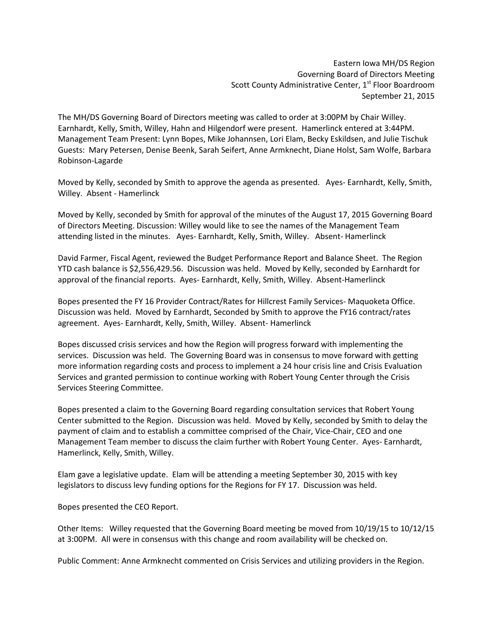Eastern Iowa MH/DS Region Governing Board of Directors Meeting Scott County Administrative Center, 1<sup>st</sup> Floor Boardroom September 21, 2015

The MH/DS Governing Board of Directors meeting was called to order at 3:00PM by Chair Willey. Earnhardt, Kelly, Smith, Willey, Hahn and Hilgendorf were present. Hamerlinck entered at 3:44PM. Management Team Present: Lynn Bopes, Mike Johannsen, Lori Elam, Becky Eskildsen, and Julie Tischuk Guests: Mary Petersen, Denise Beenk, Sarah Seifert, Anne Armknecht, Diane Holst, Sam Wolfe, Barbara Robinson-Lagarde

Moved by Kelly, seconded by Smith to approve the agenda as presented. Ayes- Earnhardt, Kelly, Smith, Willey. Absent - Hamerlinck

Moved by Kelly, seconded by Smith for approval of the minutes of the August 17, 2015 Governing Board of Directors Meeting. Discussion: Willey would like to see the names of the Management Team attending listed in the minutes. Ayes- Earnhardt, Kelly, Smith, Willey. Absent- Hamerlinck

David Farmer, Fiscal Agent, reviewed the Budget Performance Report and Balance Sheet. The Region YTD cash balance is \$2,556,429.56. Discussion was held. Moved by Kelly, seconded by Earnhardt for approval of the financial reports. Ayes- Earnhardt, Kelly, Smith, Willey. Absent-Hamerlinck

Bopes presented the FY 16 Provider Contract/Rates for Hillcrest Family Services- Maquoketa Office. Discussion was held. Moved by Earnhardt, Seconded by Smith to approve the FY16 contract/rates agreement. Ayes- Earnhardt, Kelly, Smith, Willey. Absent- Hamerlinck

Bopes discussed crisis services and how the Region will progress forward with implementing the services. Discussion was held. The Governing Board was in consensus to move forward with getting more information regarding costs and process to implement a 24 hour crisis line and Crisis Evaluation Services and granted permission to continue working with Robert Young Center through the Crisis Services Steering Committee.

Bopes presented a claim to the Governing Board regarding consultation services that Robert Young Center submitted to the Region. Discussion was held. Moved by Kelly, seconded by Smith to delay the payment of claim and to establish a committee comprised of the Chair, Vice-Chair, CEO and one Management Team member to discuss the claim further with Robert Young Center. Ayes- Earnhardt, Hamerlinck, Kelly, Smith, Willey.

Elam gave a legislative update. Elam will be attending a meeting September 30, 2015 with key legislators to discuss levy funding options for the Regions for FY 17. Discussion was held.

Bopes presented the CEO Report.

Other Items: Willey requested that the Governing Board meeting be moved from 10/19/15 to 10/12/15 at 3:00PM. All were in consensus with this change and room availability will be checked on.

Public Comment: Anne Armknecht commented on Crisis Services and utilizing providers in the Region.